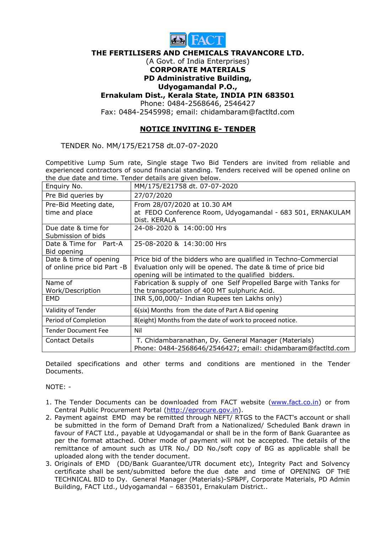

#### THE FERTILISERS AND CHEMICALS TRAVANCORE LTD.

#### (A Govt. of India Enterprises) CORPORATE MATERIALS

# PD Administrative Building,

## Udyogamandal P.O.,

### Ernakulam Dist., Kerala State, INDIA PIN 683501

Phone: 0484-2568646, 2546427

Fax: 0484-2545998; email: chidambaram@factltd.com

## NOTICE INVITING E- TENDER

TENDER No. MM/175/E21758 dt.07-07-2020

Competitive Lump Sum rate, Single stage Two Bid Tenders are invited from reliable and experienced contractors of sound financial standing. Tenders received will be opened online on the due date and time. Tender details are given below.

| Enquiry No.                 | MM/175/E21758 dt. 07-07-2020                                               |
|-----------------------------|----------------------------------------------------------------------------|
| Pre Bid queries by          | 27/07/2020                                                                 |
| Pre-Bid Meeting date,       | From 28/07/2020 at 10.30 AM                                                |
| time and place              | at FEDO Conference Room, Udyogamandal - 683 501, ERNAKULAM<br>Dist. KERALA |
| Due date & time for         | 24-08-2020 & 14:00:00 Hrs                                                  |
| Submission of bids          |                                                                            |
| Date & Time for Part-A      | 25-08-2020 & 14:30:00 Hrs                                                  |
| Bid opening                 |                                                                            |
| Date & time of opening      | Price bid of the bidders who are qualified in Techno-Commercial            |
| of online price bid Part -B | Evaluation only will be opened. The date & time of price bid               |
|                             | opening will be intimated to the qualified bidders.                        |
| Name of                     | Fabrication & supply of one Self Propelled Barge with Tanks for            |
| Work/Description            | the transportation of 400 MT sulphuric Acid.                               |
| EMD                         | INR 5,00,000/- Indian Rupees ten Lakhs only)                               |
| Validity of Tender          | 6(six) Months from the date of Part A Bid opening                          |
| Period of Completion        | 8(eight) Months from the date of work to proceed notice.                   |
| <b>Tender Document Fee</b>  | Nil                                                                        |
| <b>Contact Details</b>      | T. Chidambaranathan, Dy. General Manager (Materials)                       |
|                             | Phone: 0484-2568646/2546427; email: chidambaram@factltd.com                |

Detailed specifications and other terms and conditions are mentioned in the Tender Documents.

NOTE: -

- 1. The Tender Documents can be downloaded from FACT website (www.fact.co.in) or from Central Public Procurement Portal (http://eprocure.gov.in).
- 2. Payment against EMD may be remitted through NEFT/ RTGS to the FACT's account or shall be submitted in the form of Demand Draft from a Nationalized/ Scheduled Bank drawn in favour of FACT Ltd., payable at Udyogamandal or shall be in the form of Bank Guarantee as per the format attached. Other mode of payment will not be accepted. The details of the remittance of amount such as UTR No./ DD No./soft copy of BG as applicable shall be uploaded along with the tender document.
- 3. Originals of EMD (DD/Bank Guarantee/UTR document etc), Integrity Pact and Solvency certificate shall be sent/submitted before the due date and time of OPENING OF THE TECHNICAL BID to Dy. General Manager (Materials)-SP&PF, Corporate Materials, PD Admin Building, FACT Ltd., Udyogamandal – 683501, Ernakulam District..